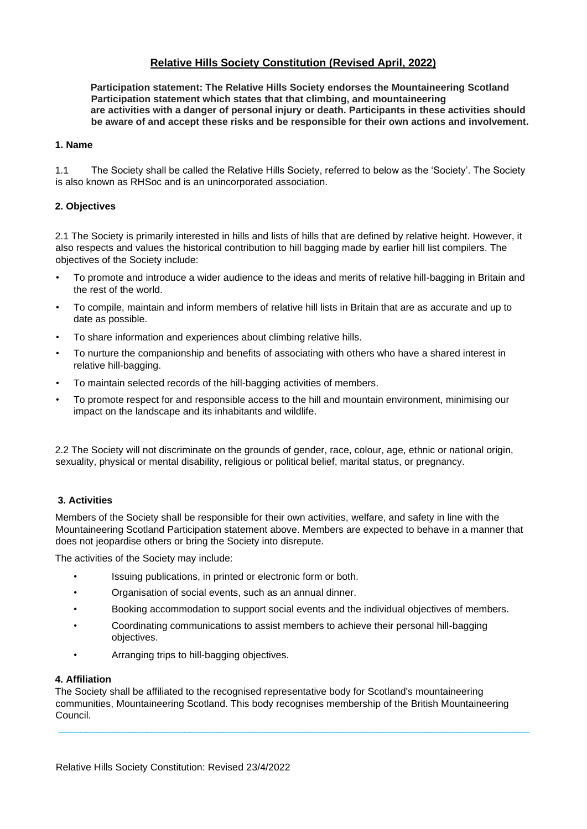# **Relative Hills Society Constitution (Revised April, 2022)**

**Participation statement: The Relative Hills Society endorses the Mountaineering Scotland Participation statement which states that that climbing, and mountaineering are activities with a danger of personal injury or death. Participants in these activities should be aware of and accept these risks and be responsible for their own actions and involvement.**

### **1. Name**

1.1 The Society shall be called the Relative Hills Society, referred to below as the 'Society'. The Society is also known as RHSoc and is an unincorporated association.

## **2. Objectives**

2.1 The Society is primarily interested in hills and lists of hills that are defined by relative height. However, it also respects and values the historical contribution to hill bagging made by earlier hill list compilers. The objectives of the Society include:

- To promote and introduce a wider audience to the ideas and merits of relative hill-bagging in Britain and the rest of the world.
- To compile, maintain and inform members of relative hill lists in Britain that are as accurate and up to date as possible.
- To share information and experiences about climbing relative hills.
- To nurture the companionship and benefits of associating with others who have a shared interest in relative hill-bagging.
- To maintain selected records of the hill-bagging activities of members.
- To promote respect for and responsible access to the hill and mountain environment, minimising our impact on the landscape and its inhabitants and wildlife.

2.2 The Society will not discriminate on the grounds of gender, race, colour, age, ethnic or national origin, sexuality, physical or mental disability, religious or political belief, marital status, or pregnancy.

## **3. Activities**

Members of the Society shall be responsible for their own activities, welfare, and safety in line with the Mountaineering Scotland Participation statement above. Members are expected to behave in a manner that does not jeopardise others or bring the Society into disrepute.

The activities of the Society may include:

- Issuing publications, in printed or electronic form or both.
- Organisation of social events, such as an annual dinner.
- Booking accommodation to support social events and the individual objectives of members.
- Coordinating communications to assist members to achieve their personal hill-bagging objectives.
- Arranging trips to hill-bagging objectives.

#### **4. Affiliation**

The Society shall be affiliated to the recognised representative body for Scotland's mountaineering communities, Mountaineering Scotland. This body recognises membership of the British Mountaineering Council.

 $\_$  , and the state of the state of the state of the state of the state of the state of the state of the state of the state of the state of the state of the state of the state of the state of the state of the state of the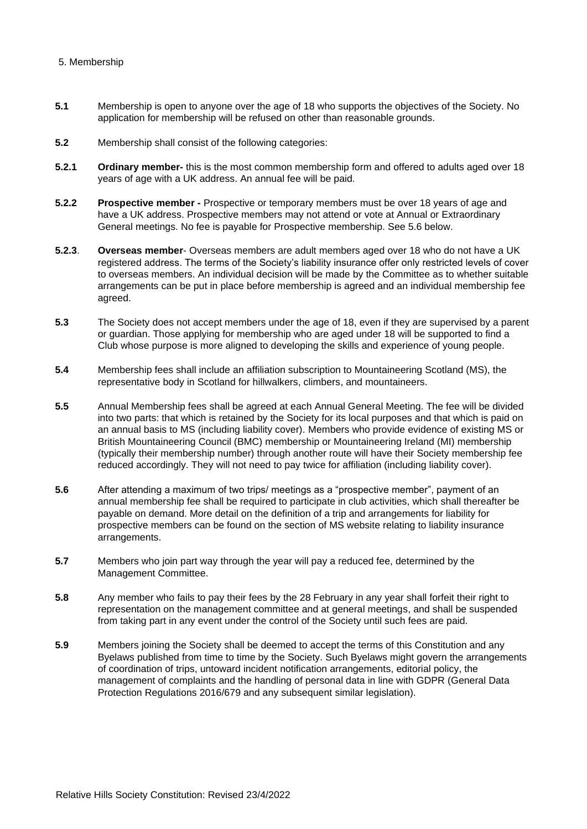## 5. Membership

- **5.1** Membership is open to anyone over the age of 18 who supports the objectives of the Society. No application for membership will be refused on other than reasonable grounds.
- **5.2** Membership shall consist of the following categories:
- **5.2.1 Ordinary member-** this is the most common membership form and offered to adults aged over 18 years of age with a UK address. An annual fee will be paid.
- **5.2.2 Prospective member -** Prospective or temporary members must be over 18 years of age and have a UK address. Prospective members may not attend or vote at Annual or Extraordinary General meetings. No fee is payable for Prospective membership. See 5.6 below.
- **5.2.3**. **Overseas member** Overseas members are adult members aged over 18 who do not have a UK registered address. The terms of the Society's liability insurance offer only restricted levels of cover to overseas members. An individual decision will be made by the Committee as to whether suitable arrangements can be put in place before membership is agreed and an individual membership fee agreed.
- **5.3** The Society does not accept members under the age of 18, even if they are supervised by a parent or guardian. Those applying for membership who are aged under 18 will be supported to find a Club whose purpose is more aligned to developing the skills and experience of young people.
- **5.4** Membership fees shall include an affiliation subscription to Mountaineering Scotland (MS), the representative body in Scotland for hillwalkers, climbers, and mountaineers.
- **5.5** Annual Membership fees shall be agreed at each Annual General Meeting. The fee will be divided into two parts: that which is retained by the Society for its local purposes and that which is paid on an annual basis to MS (including liability cover). Members who provide evidence of existing MS or British Mountaineering Council (BMC) membership or Mountaineering Ireland (MI) membership (typically their membership number) through another route will have their Society membership fee reduced accordingly. They will not need to pay twice for affiliation (including liability cover).
- **5.6** After attending a maximum of two trips/ meetings as a "prospective member", payment of an annual membership fee shall be required to participate in club activities, which shall thereafter be payable on demand. More detail on the definition of a trip and arrangements for liability for prospective members can be found on the section of MS website relating to liability insurance arrangements.
- **5.7** Members who join part way through the year will pay a reduced fee, determined by the Management Committee.
- **5.8** Any member who fails to pay their fees by the 28 February in any year shall forfeit their right to representation on the management committee and at general meetings, and shall be suspended from taking part in any event under the control of the Society until such fees are paid.
- **5.9** Members joining the Society shall be deemed to accept the terms of this Constitution and any Byelaws published from time to time by the Society. Such Byelaws might govern the arrangements of coordination of trips, untoward incident notification arrangements, editorial policy, the management of complaints and the handling of personal data in line with GDPR (General Data Protection Regulations 2016/679 and any subsequent similar legislation).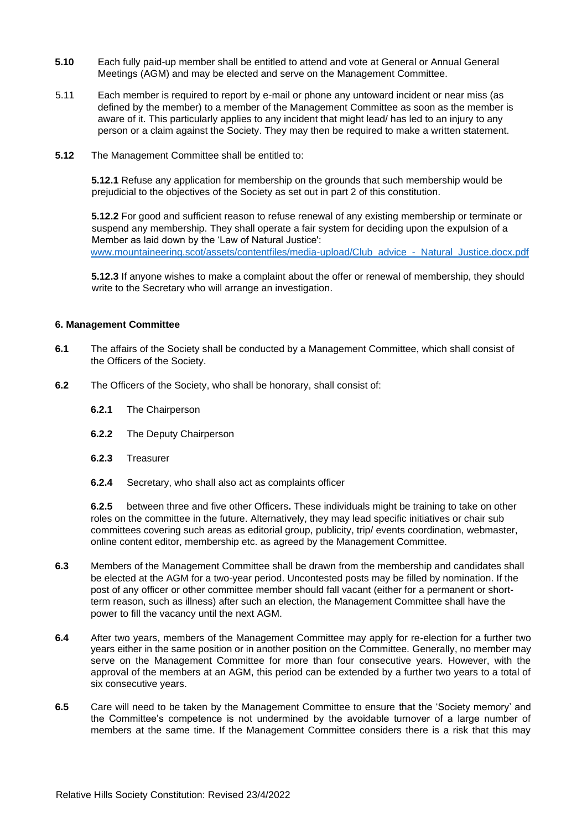- **5.10** Each fully paid-up member shall be entitled to attend and vote at General or Annual General Meetings (AGM) and may be elected and serve on the Management Committee.
- 5.11 Each member is required to report by e-mail or phone any untoward incident or near miss (as defined by the member) to a member of the Management Committee as soon as the member is aware of it. This particularly applies to any incident that might lead/ has led to an injury to any person or a claim against the Society. They may then be required to make a written statement.
- **5.12** The Management Committee shall be entitled to:

**5.12.1** Refuse any application for membership on the grounds that such membership would be prejudicial to the objectives of the Society as set out in part 2 of this constitution.

**5.12.2** For good and sufficient reason to refuse renewal of any existing membership or terminate or suspend any membership. They shall operate a fair system for deciding upon the expulsion of a Member as laid down by the 'Law of Natural Justice': [www.mountaineering.scot/assets/contentfiles/media-upload/Club\\_advice\\_-\\_Natural\\_Justice.docx.pdf](http://www.mountaineering.scot/assets/contentfiles/media-upload/Club_advice_-_Natural_Justice.docx.pdf)

**5.12.3** If anyone wishes to make a complaint about the offer or renewal of membership, they should write to the Secretary who will arrange an investigation.

#### **6. Management Committee**

- **6.1** The affairs of the Society shall be conducted by a Management Committee, which shall consist of the Officers of the Society.
- **6.2** The Officers of the Society, who shall be honorary, shall consist of:
	- **6.2.1** The Chairperson
	- **6.2.2** The Deputy Chairperson
	- **6.2.3** Treasurer
	- **6.2.4** Secretary, who shall also act as complaints officer

**6.2.5** between three and five other Officers**.** These individuals might be training to take on other roles on the committee in the future. Alternatively, they may lead specific initiatives or chair sub committees covering such areas as editorial group, publicity, trip/ events coordination, webmaster, online content editor, membership etc. as agreed by the Management Committee.

- **6.3** Members of the Management Committee shall be drawn from the membership and candidates shall be elected at the AGM for a two-year period. Uncontested posts may be filled by nomination. If the post of any officer or other committee member should fall vacant (either for a permanent or shortterm reason, such as illness) after such an election, the Management Committee shall have the power to fill the vacancy until the next AGM.
- **6.4** After two years, members of the Management Committee may apply for re-election for a further two years either in the same position or in another position on the Committee. Generally, no member may serve on the Management Committee for more than four consecutive years. However, with the approval of the members at an AGM, this period can be extended by a further two years to a total of six consecutive years.
- **6.5** Care will need to be taken by the Management Committee to ensure that the 'Society memory' and the Committee's competence is not undermined by the avoidable turnover of a large number of members at the same time. If the Management Committee considers there is a risk that this may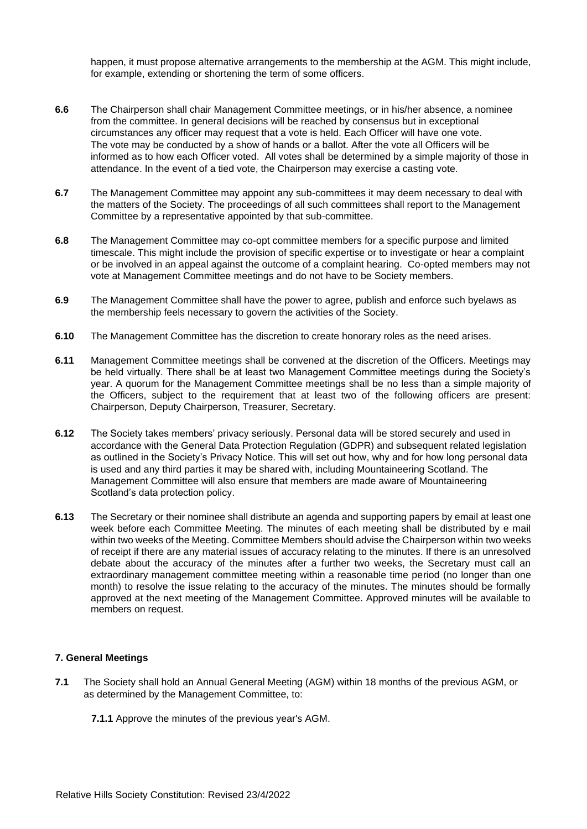happen, it must propose alternative arrangements to the membership at the AGM. This might include, for example, extending or shortening the term of some officers.

- **6.6** The Chairperson shall chair Management Committee meetings, or in his/her absence, a nominee from the committee. In general decisions will be reached by consensus but in exceptional circumstances any officer may request that a vote is held. Each Officer will have one vote. The vote may be conducted by a show of hands or a ballot. After the vote all Officers will be informed as to how each Officer voted. All votes shall be determined by a simple majority of those in attendance. In the event of a tied vote, the Chairperson may exercise a casting vote.
- **6.7** The Management Committee may appoint any sub-committees it may deem necessary to deal with the matters of the Society. The proceedings of all such committees shall report to the Management Committee by a representative appointed by that sub-committee.
- **6.8** The Management Committee may co-opt committee members for a specific purpose and limited timescale. This might include the provision of specific expertise or to investigate or hear a complaint or be involved in an appeal against the outcome of a complaint hearing. Co-opted members may not vote at Management Committee meetings and do not have to be Society members.
- **6.9** The Management Committee shall have the power to agree, publish and enforce such byelaws as the membership feels necessary to govern the activities of the Society.
- **6.10** The Management Committee has the discretion to create honorary roles as the need arises.
- **6.11** Management Committee meetings shall be convened at the discretion of the Officers. Meetings may be held virtually. There shall be at least two Management Committee meetings during the Society's year. A quorum for the Management Committee meetings shall be no less than a simple majority of the Officers, subject to the requirement that at least two of the following officers are present: Chairperson, Deputy Chairperson, Treasurer, Secretary.
- **6.12** The Society takes members' privacy seriously. Personal data will be stored securely and used in accordance with the General Data Protection Regulation (GDPR) and subsequent related legislation as outlined in the Society's Privacy Notice. This will set out how, why and for how long personal data is used and any third parties it may be shared with, including Mountaineering Scotland. The Management Committee will also ensure that members are made aware of Mountaineering Scotland's data protection policy.
- **6.13** The Secretary or their nominee shall distribute an agenda and supporting papers by email at least one week before each Committee Meeting. The minutes of each meeting shall be distributed by e mail within two weeks of the Meeting. Committee Members should advise the Chairperson within two weeks of receipt if there are any material issues of accuracy relating to the minutes. If there is an unresolved debate about the accuracy of the minutes after a further two weeks, the Secretary must call an extraordinary management committee meeting within a reasonable time period (no longer than one month) to resolve the issue relating to the accuracy of the minutes. The minutes should be formally approved at the next meeting of the Management Committee. Approved minutes will be available to members on request.

## **7. General Meetings**

- **7.1** The Society shall hold an Annual General Meeting (AGM) within 18 months of the previous AGM, or as determined by the Management Committee, to:
	- **7.1.1** Approve the minutes of the previous year's AGM.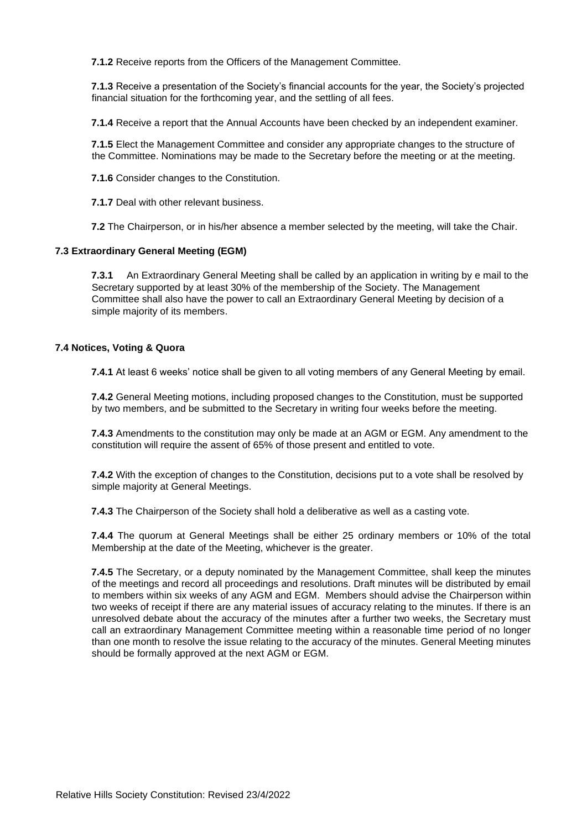**7.1.2** Receive reports from the Officers of the Management Committee.

**7.1.3** Receive a presentation of the Society's financial accounts for the year, the Society's projected financial situation for the forthcoming year, and the settling of all fees.

**7.1.4** Receive a report that the Annual Accounts have been checked by an independent examiner.

**7.1.5** Elect the Management Committee and consider any appropriate changes to the structure of the Committee. Nominations may be made to the Secretary before the meeting or at the meeting.

**7.1.6** Consider changes to the Constitution.

**7.1.7** Deal with other relevant business.

**7.2** The Chairperson, or in his/her absence a member selected by the meeting, will take the Chair.

#### **7.3 Extraordinary General Meeting (EGM)**

**7.3.1** An Extraordinary General Meeting shall be called by an application in writing by e mail to the Secretary supported by at least 30% of the membership of the Society. The Management Committee shall also have the power to call an Extraordinary General Meeting by decision of a simple majority of its members.

#### **7.4 Notices, Voting & Quora**

**7.4.1** At least 6 weeks' notice shall be given to all voting members of any General Meeting by email.

**7.4.2** General Meeting motions, including proposed changes to the Constitution, must be supported by two members, and be submitted to the Secretary in writing four weeks before the meeting.

**7.4.3** Amendments to the constitution may only be made at an AGM or EGM. Any amendment to the constitution will require the assent of 65% of those present and entitled to vote.

**7.4.2** With the exception of changes to the Constitution, decisions put to a vote shall be resolved by simple majority at General Meetings.

**7.4.3** The Chairperson of the Society shall hold a deliberative as well as a casting vote.

**7.4.4** The quorum at General Meetings shall be either 25 ordinary members or 10% of the total Membership at the date of the Meeting, whichever is the greater.

**7.4.5** The Secretary, or a deputy nominated by the Management Committee, shall keep the minutes of the meetings and record all proceedings and resolutions. Draft minutes will be distributed by email to members within six weeks of any AGM and EGM. Members should advise the Chairperson within two weeks of receipt if there are any material issues of accuracy relating to the minutes. If there is an unresolved debate about the accuracy of the minutes after a further two weeks, the Secretary must call an extraordinary Management Committee meeting within a reasonable time period of no longer than one month to resolve the issue relating to the accuracy of the minutes. General Meeting minutes should be formally approved at the next AGM or EGM.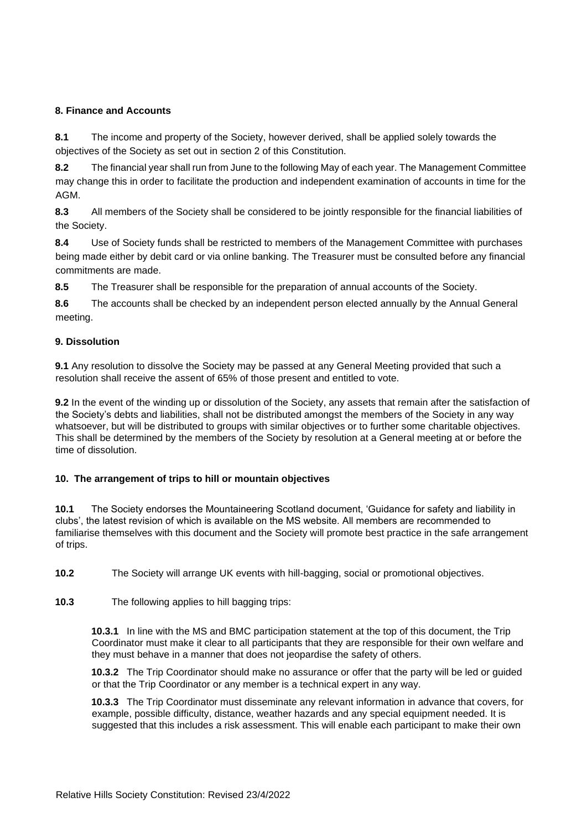## **8. Finance and Accounts**

**8.1** The income and property of the Society, however derived, shall be applied solely towards the objectives of the Society as set out in section 2 of this Constitution.

**8.2** The financial year shall run from June to the following May of each year. The Management Committee may change this in order to facilitate the production and independent examination of accounts in time for the AGM.

**8.3** All members of the Society shall be considered to be jointly responsible for the financial liabilities of the Society.

**8.4** Use of Society funds shall be restricted to members of the Management Committee with purchases being made either by debit card or via online banking. The Treasurer must be consulted before any financial commitments are made.

**8.5** The Treasurer shall be responsible for the preparation of annual accounts of the Society.

**8.6** The accounts shall be checked by an independent person elected annually by the Annual General meeting.

## **9. Dissolution**

**9.1** Any resolution to dissolve the Society may be passed at any General Meeting provided that such a resolution shall receive the assent of 65% of those present and entitled to vote.

**9.2** In the event of the winding up or dissolution of the Society, any assets that remain after the satisfaction of the Society's debts and liabilities, shall not be distributed amongst the members of the Society in any way whatsoever, but will be distributed to groups with similar objectives or to further some charitable objectives. This shall be determined by the members of the Society by resolution at a General meeting at or before the time of dissolution.

# **10. The arrangement of trips to hill or mountain objectives**

**10.1** The Society endorses the Mountaineering Scotland document, 'Guidance for safety and liability in clubs', the latest revision of which is available on the MS website. All members are recommended to familiarise themselves with this document and the Society will promote best practice in the safe arrangement of trips.

**10.2** The Society will arrange UK events with hill-bagging, social or promotional objectives.

**10.3** The following applies to hill bagging trips:

**10.3.1** In line with the MS and BMC participation statement at the top of this document, the Trip Coordinator must make it clear to all participants that they are responsible for their own welfare and they must behave in a manner that does not jeopardise the safety of others.

**10.3.2** The Trip Coordinator should make no assurance or offer that the party will be led or guided or that the Trip Coordinator or any member is a technical expert in any way.

**10.3.3** The Trip Coordinator must disseminate any relevant information in advance that covers, for example, possible difficulty, distance, weather hazards and any special equipment needed. It is suggested that this includes a risk assessment. This will enable each participant to make their own